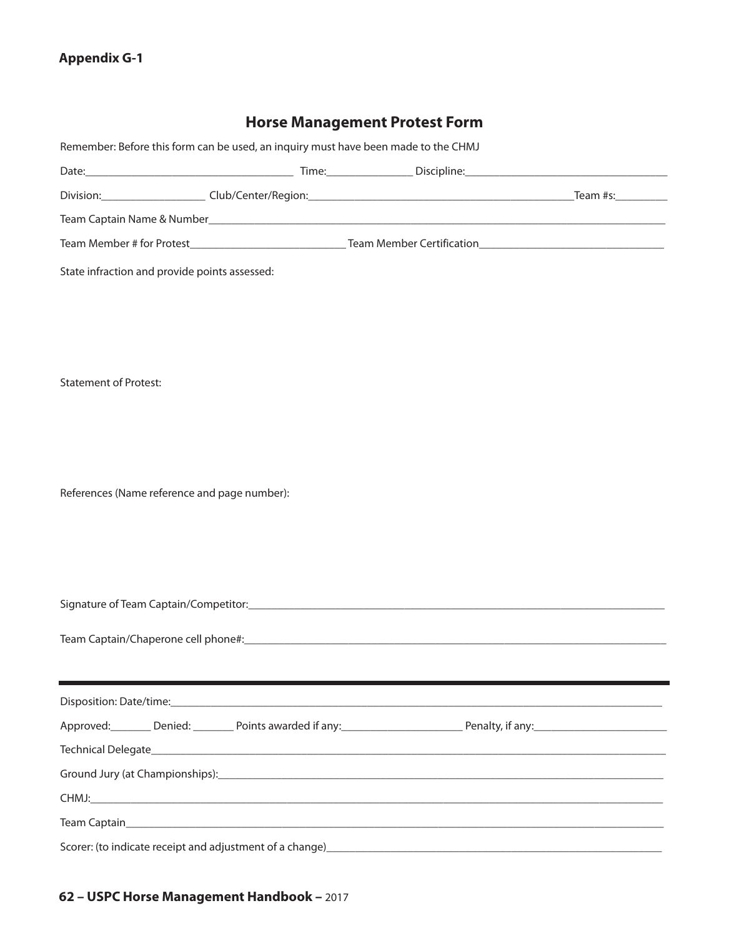## **Appendix G-1**

## **Horse Management Protest Form**

|                                               | Remember: Before this form can be used, an inquiry must have been made to the CHMJ |  |                                                                                                       |
|-----------------------------------------------|------------------------------------------------------------------------------------|--|-------------------------------------------------------------------------------------------------------|
|                                               |                                                                                    |  |                                                                                                       |
|                                               |                                                                                    |  |                                                                                                       |
|                                               |                                                                                    |  |                                                                                                       |
|                                               |                                                                                    |  |                                                                                                       |
| State infraction and provide points assessed: |                                                                                    |  |                                                                                                       |
|                                               |                                                                                    |  |                                                                                                       |
|                                               |                                                                                    |  |                                                                                                       |
|                                               |                                                                                    |  |                                                                                                       |
|                                               |                                                                                    |  |                                                                                                       |
| <b>Statement of Protest:</b>                  |                                                                                    |  |                                                                                                       |
|                                               |                                                                                    |  |                                                                                                       |
|                                               |                                                                                    |  |                                                                                                       |
|                                               |                                                                                    |  |                                                                                                       |
| References (Name reference and page number):  |                                                                                    |  |                                                                                                       |
|                                               |                                                                                    |  |                                                                                                       |
|                                               |                                                                                    |  |                                                                                                       |
|                                               |                                                                                    |  |                                                                                                       |
|                                               |                                                                                    |  |                                                                                                       |
|                                               |                                                                                    |  |                                                                                                       |
|                                               |                                                                                    |  |                                                                                                       |
|                                               |                                                                                    |  |                                                                                                       |
|                                               |                                                                                    |  |                                                                                                       |
|                                               |                                                                                    |  | Approved: Denied: Denied: Denied: Denies awarded if any: Denies and Penalty, if any: Denalty, if any: |
|                                               |                                                                                    |  |                                                                                                       |
|                                               |                                                                                    |  |                                                                                                       |
|                                               |                                                                                    |  |                                                                                                       |
|                                               |                                                                                    |  |                                                                                                       |
|                                               | Scorer: (to indicate receipt and adjustment of a change)_                          |  |                                                                                                       |